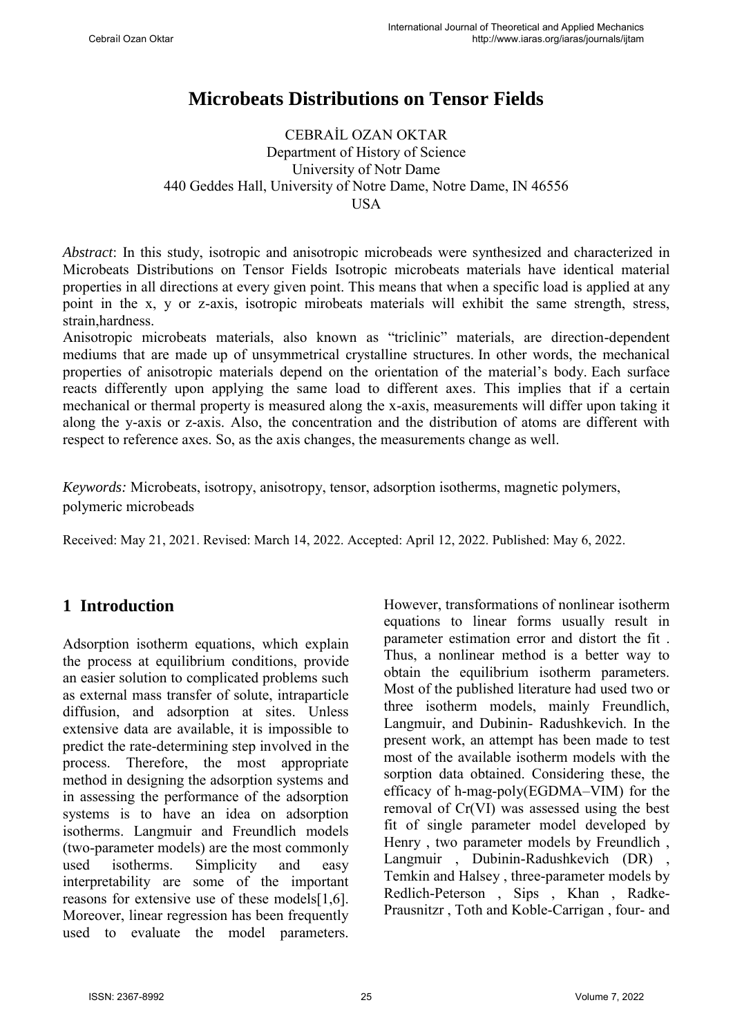# **Microbeats Distributions on Tensor Fields**

#### CEBRAİL OZAN OKTAR Department of History of Science University of Notr Dame 440 Geddes Hall, University of Notre Dame, Notre Dame, IN 46556 **USA**

*Abstract*: In this study, isotropic and anisotropic microbeads were synthesized and characterized in Microbeats Distributions on Tensor Fields Isotropic microbeats materials have identical material properties in all directions at every given point. This means that when a specific load is applied at any point in the x, y or z-axis, isotropic mirobeats materials will exhibit the same strength, stress, strain,hardness.

Anisotropic microbeats materials, also known as "triclinic" materials, are direction-dependent mediums that are made up of unsymmetrical crystalline structures. In other words, the mechanical properties of anisotropic materials depend on the orientation of the material's body. Each surface reacts differently upon applying the same load to different axes. This implies that if a certain mechanical or thermal property is measured along the x-axis, measurements will differ upon taking it along the y-axis or z-axis. Also, the concentration and the distribution of atoms are different with respect to reference axes. So, as the axis changes, the measurements change as well.

*Keywords:* Microbeats, isotropy, anisotropy, tensor, adsorption isotherms, magnetic polymers, polymeric microbeads

Received: May 21, 2021. Revised: March 14, 2022. Accepted: April 12, 2022. Published: May 6, 2022.

## **1 Introduction**

Adsorption isotherm equations, which explain the process at equilibrium conditions, provide an easier solution to complicated problems such as external mass transfer of solute, intraparticle diffusion, and adsorption at sites. Unless extensive data are available, it is impossible to predict the rate-determining step involved in the process. Therefore, the most appropriate method in designing the adsorption systems and in assessing the performance of the adsorption systems is to have an idea on adsorption isotherms. Langmuir and Freundlich models (two-parameter models) are the most commonly used isotherms. Simplicity and easy interpretability are some of the important reasons for extensive use of these models[1,6]. Moreover, linear regression has been frequently used to evaluate the model parameters. However, transformations of nonlinear isotherm equations to linear forms usually result in parameter estimation error and distort the fit . Thus, a nonlinear method is a better way to obtain the equilibrium isotherm parameters. Most of the published literature had used two or three isotherm models, mainly Freundlich, Langmuir, and Dubinin- Radushkevich. In the present work, an attempt has been made to test most of the available isotherm models with the sorption data obtained. Considering these, the efficacy of h-mag-poly(EGDMA–VIM) for the removal of Cr(VI) was assessed using the best fit of single parameter model developed by Henry , two parameter models by Freundlich , Langmuir , Dubinin-Radushkevich (DR) , Temkin and Halsey , three-parameter models by Redlich-Peterson , Sips , Khan , Radke-Prausnitzr , Toth and Koble-Carrigan , four- and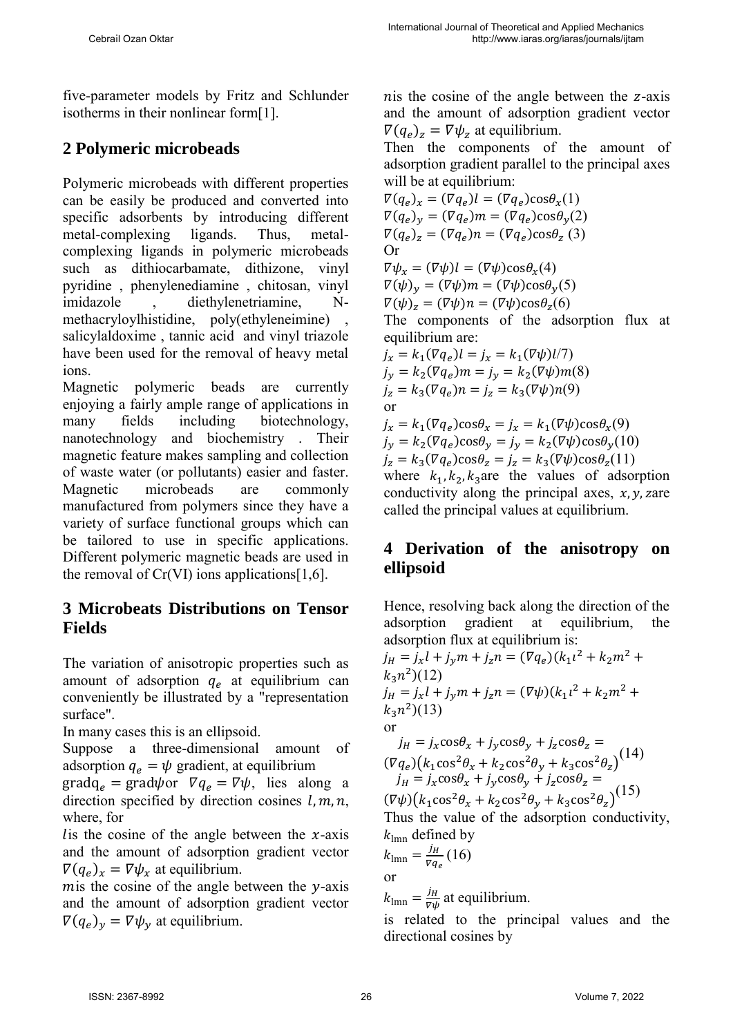five-parameter models by Fritz and Schlunder isotherms in their nonlinear form[1].

### **2 Polymeric microbeads**

Polymeric microbeads with different properties can be easily be produced and converted into specific adsorbents by introducing different metal-complexing ligands. Thus, metalcomplexing ligands in polymeric microbeads such as dithiocarbamate, dithizone, vinyl pyridine , phenylenediamine , chitosan, vinyl imidazole , diethylenetriamine, Nmethacryloylhistidine, poly(ethyleneimine) , salicylaldoxime , tannic acid and vinyl triazole have been used for the removal of heavy metal ions.

Magnetic polymeric beads are currently enjoying a fairly ample range of applications in many fields including biotechnology, nanotechnology and biochemistry . Their magnetic feature makes sampling and collection of waste water (or pollutants) easier and faster. Magnetic microbeads are commonly manufactured from polymers since they have a variety of surface functional groups which can be tailored to use in specific applications. Different polymeric magnetic beads are used in the removal of  $Cr(VI)$  ions applications [1,6].

### **3 Microbeats Distributions on Tensor Fields**

The variation of anisotropic properties such as amount of adsorption  $q_e$  at equilibrium can conveniently be illustrated by a "representation surface".

In many cases this is an ellipsoid.

Suppose a three-dimensional amount of adsorption  $q_e = \psi$  gradient, at equilibrium  $\text{grad} q_e = \text{grad} \psi \text{ or } \nabla q_e = \nabla \psi$ , lies along a

direction specified by direction cosines  $l, m, n$ , where, for

lis the cosine of the angle between the  $x$ -axis and the amount of adsorption gradient vector  $\nabla(q_e)_x = \nabla \psi_x$  at equilibrium.

mis the cosine of the angle between the  $y$ -axis and the amount of adsorption gradient vector  $\nabla (q_e)_y = \nabla \psi_y$  at equilibrium.

n is the cosine of the angle between the  $z$ -axis and the amount of adsorption gradient vector  $\nabla (q_e)_z = \nabla \psi_z$  at equilibrium.

Then the components of the amount of adsorption gradient parallel to the principal axes will be at equilibrium:

 $\nabla (q_e)_x = (\nabla q_e) l = (\nabla q_e) \cos \theta_x(1)$  $\nabla (q_e)_y = (\nabla q_e) m = (\nabla q_e) \cos \theta_y(2)$  $\nabla(q_e)_z = (\nabla q_e) n = (\nabla q_e) \cos \theta_z$  (3) Or  $\nabla \psi_r = (\nabla \psi) l = (\nabla \psi) \cos \theta_r(4)$  $\nabla(\psi)_y = (\nabla\psi)m = (\nabla\psi)\cos\theta_y(5)$  $\nabla(\psi)_z = (\nabla \psi)n = (\nabla \psi)\cos\theta_z(6)$ The components of the adsorption flux at equilibrium are:  $j_x = k_1(\nabla q_e) l = j_x = k_1(\nabla \psi) l/7$  $j_y = k_2(\nabla q_e) m = j_y = k_2(\nabla \psi) m(8)$  $j_z = k_3(\nabla q_e) n = j_z = k_3(\nabla \psi) n(9)$ or  $j_x = k_1(\nabla q_e) \cos \theta_x = j_x = k_1(\nabla \psi) \cos \theta_x(9)$  $j_y = k_2(\nabla q_e) \cos \theta_y = j_y = k_2(\nabla \psi) \cos \theta_y(10)$  $j_z = k_3(\nabla q_e) \cos \theta_z = j_z = k_3(\nabla \psi) \cos \theta_z(11)$ where  $k_1, k_2, k_3$  are the values of adsorption conductivity along the principal axes,  $x, y, z$  are called the principal values at equilibrium.

### **4 Derivation of the anisotropy on ellipsoid**

Hence, resolving back along the direction of the adsorption gradient at equilibrium, the adsorption flux at equilibrium is:

$$
j_H = j_x l + j_y m + j_z n = (\nabla q_e)(k_1 l^2 + k_2 m^2 +
$$
  
\n
$$
k_3 n^2)(12)
$$
  
\n
$$
j_H = j_x l + j_y m + j_z n = (\nabla \psi)(k_1 l^2 + k_2 m^2 +
$$
  
\n
$$
k_3 n^2)(13)
$$
  
\nor  
\n
$$
j_H = j_x \cos \theta_x + j_y \cos \theta_y + j_z \cos \theta_z =
$$
  
\n
$$
(\nabla q_e)(k_1 \cos^2 \theta_x + k_2 \cos^2 \theta_y + k_3 \cos^2 \theta_z)^{(14)}
$$
  
\n
$$
j_H = j_x \cos \theta_x + j_y \cos \theta_y + j_z \cos \theta_z =
$$
  
\n
$$
(\nabla \psi)(k_1 \cos^2 \theta_x + k_2 \cos^2 \theta_y + k_3 \cos^2 \theta_z)^{(15)}
$$
  
\nThus the value of the adsorption conductivity,  
\n
$$
k_{\text{lmn}} \text{ defined by}
$$
  
\n
$$
k_{\text{lmn}} = \frac{j_H}{\nabla q_e} (16)
$$

or

 $k_{\text{lmn}} = \frac{j_H}{\nabla \psi}$  at equilibrium.

is related to the principal values and the directional cosines by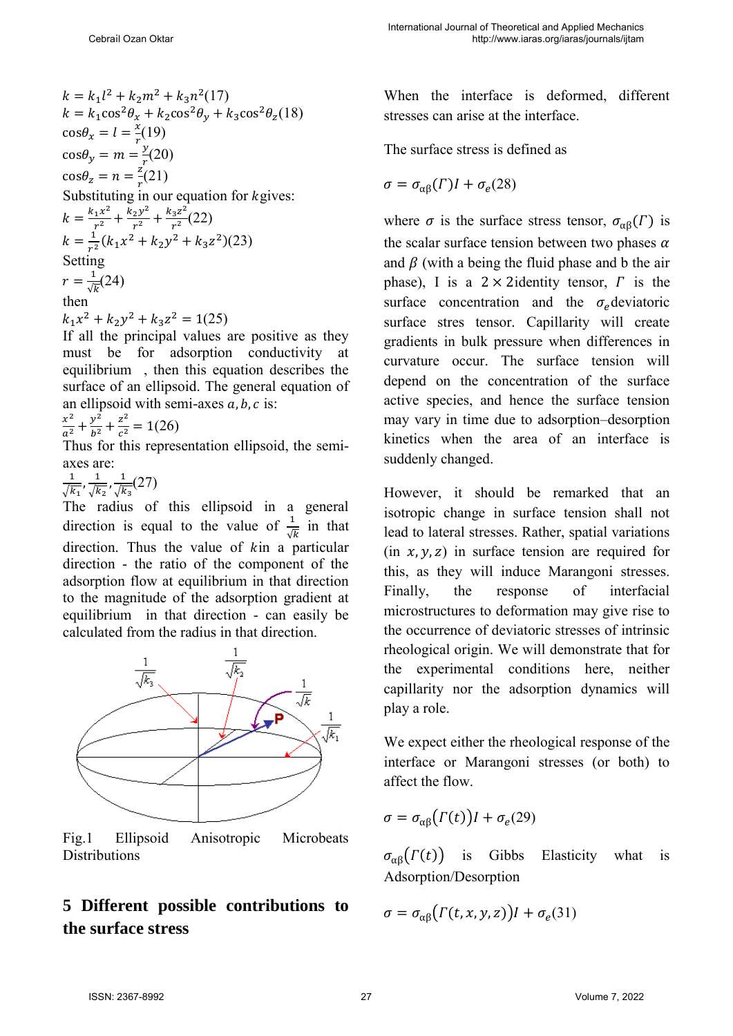$$
k = k_1 l^2 + k_2 m^2 + k_3 n^2 (17)
$$
  
\n
$$
k = k_1 \cos^2 \theta_x + k_2 \cos^2 \theta_y + k_3 \cos^2 \theta_z (18)
$$
  
\n
$$
\cos \theta_x = l = \frac{x}{r} (19)
$$
  
\n
$$
\cos \theta_y = m = \frac{y}{r} (20)
$$
  
\n
$$
\cos \theta_z = n = \frac{z}{r} (21)
$$
  
\nSubstituting in our equation for *k* gives:  
\n
$$
k = \frac{k_1 x^2}{r^2} + \frac{k_2 y^2}{r^2} + \frac{k_3 z^2}{r^2} (22)
$$
  
\n
$$
k = \frac{1}{r^2} (k_1 x^2 + k_2 y^2 + k_3 z^2) (23)
$$
  
\nSetting  
\n
$$
r = \frac{1}{\sqrt{k}} (24)
$$

#### then

$$
k_1 x^2 + k_2 y^2 + k_3 z^2 = 1(25)
$$

If all the principal values are positive as they must be for adsorption conductivity at equilibrium , then this equation describes the surface of an ellipsoid. The general equation of an ellipsoid with semi-axes  $a, b, c$  is:

$$
\frac{x^2}{a^2} + \frac{y^2}{b^2} + \frac{z^2}{c^2} = 1(26)
$$

Thus for this representation ellipsoid, the semiaxes are:

1  $\frac{1}{\sqrt{k_1}}, \frac{1}{\sqrt{k}}$  $\frac{1}{\sqrt{k_2}}$ ,  $\frac{1}{\sqrt{k}}$  $\frac{1}{\sqrt{k_3}}(27)$ 

The radius of this ellipsoid in a general direction is equal to the value of  $\frac{1}{\sqrt{k}}$  in that direction. Thus the value of  $kin$  a particular direction - the ratio of the component of the adsorption flow at equilibrium in that direction to the magnitude of the adsorption gradient at equilibrium in that direction - can easily be calculated from the radius in that direction.



Fig.1 Ellipsoid Anisotropic Microbeats Distributions

## **5 Different possible contributions to the surface stress**

When the interface is deformed, different stresses can arise at the interface.

The surface stress is defined as

$$
\sigma = \sigma_{\alpha\beta}(\Gamma)I + \sigma_e(28)
$$

where  $\sigma$  is the surface stress tensor,  $\sigma_{\alpha\beta}(\Gamma)$  is the scalar surface tension between two phases  $\alpha$ and  $\beta$  (with a being the fluid phase and b the air phase), I is a  $2 \times 2$ identity tensor,  $\Gamma$  is the surface concentration and the  $\sigma_e$  deviatoric surface stres tensor. Capillarity will create gradients in bulk pressure when differences in curvature occur. The surface tension will depend on the concentration of the surface active species, and hence the surface tension may vary in time due to adsorption–desorption kinetics when the area of an interface is suddenly changed.

However, it should be remarked that an isotropic change in surface tension shall not lead to lateral stresses. Rather, spatial variations  $(in x, y, z)$  in surface tension are required for this, as they will induce Marangoni stresses. Finally, the response of interfacial microstructures to deformation may give rise to the occurrence of deviatoric stresses of intrinsic rheological origin. We will demonstrate that for the experimental conditions here, neither capillarity nor the adsorption dynamics will play a role.

We expect either the rheological response of the interface or Marangoni stresses (or both) to affect the flow.

$$
\sigma = \sigma_{\alpha\beta} \big( \Gamma(t) \big) I + \sigma_e(29)
$$

 $\sigma_{\alpha\beta}(\Gamma(t))$  is Gibbs Elasticity what is Adsorption/Desorption

$$
\sigma = \sigma_{\alpha\beta} \big( \Gamma(t, x, y, z) \big) I + \sigma_e(31)
$$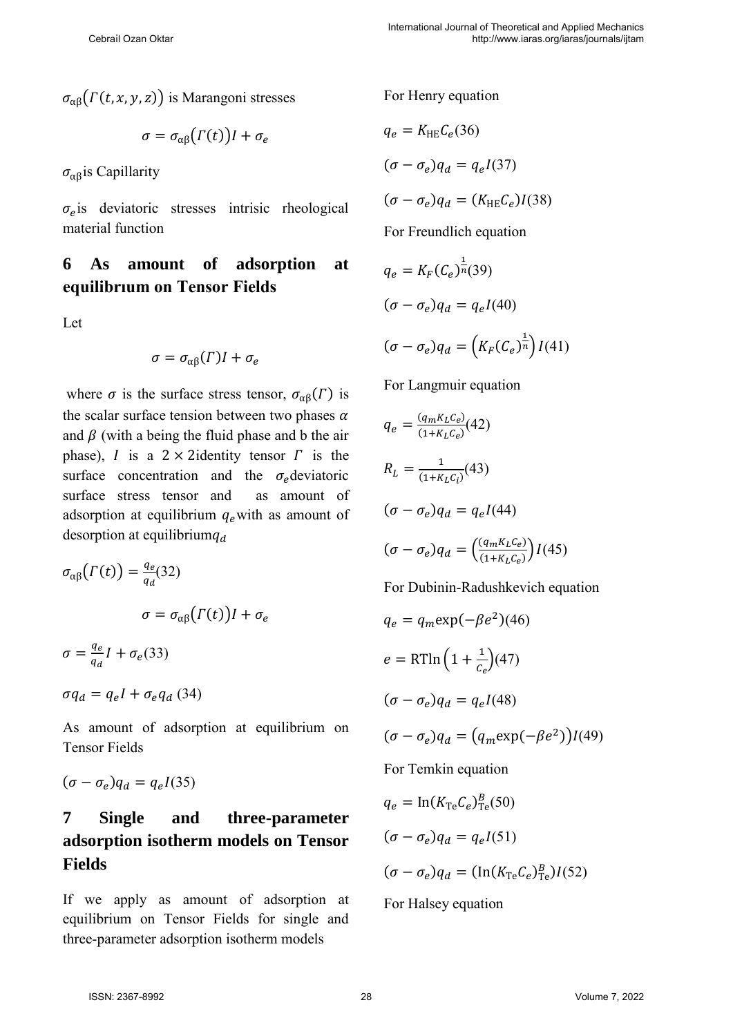$\sigma_{\alpha\beta}(\Gamma(t, x, y, z))$  is Marangoni stresses

$$
\sigma = \sigma_{\alpha\beta} \big( \Gamma(t) \big) I + \sigma_e
$$

 $\sigma_{\alpha\beta}$ is Capillarity

 $\sigma_e$ is deviatoric stresses intrisic rheological material function

## **6 As amount of adsorption at equilibrıum on Tensor Fields**

Let

$$
\sigma = \sigma_{\alpha\beta}(\Gamma)I + \sigma_e
$$

where  $\sigma$  is the surface stress tensor,  $\sigma_{\alpha\beta}(\Gamma)$  is the scalar surface tension between two phases  $\alpha$ and  $\beta$  (with a being the fluid phase and b the air phase), *I* is a  $2 \times 2$  identity tensor *I* is the surface concentration and the  $\sigma_e$  deviatoric surface stress tensor and as amount of adsorption at equilibrium  $q_e$  with as amount of desorption at equilibrium $q_d$ 

$$
\sigma_{\alpha\beta}\left(\Gamma(t)\right) = \frac{q_e}{q_d}(32)
$$

$$
\sigma = \sigma_{\alpha\beta}\left(\Gamma(t)\right)I + \sigma_e
$$

$$
\sigma = \frac{q_e}{q_d}I + \sigma_e(33)
$$

 $\sigma q_d = q_e I + \sigma_e q_d \ (34)$ 

As amount of adsorption at equilibrium on Tensor Fields

$$
(\sigma - \sigma_e)q_d = q_e I(35)
$$

## **7 Single and three-parameter adsorption isotherm models on Tensor Fields**

If we apply as amount of adsorption at equilibrium on Tensor Fields for single and three-parameter adsorption isotherm models

For Henry equation

$$
q_e = K_{HE}C_e(36)
$$
  
\n
$$
(\sigma - \sigma_e)q_d = q_eI(37)
$$
  
\n
$$
(\sigma - \sigma_e)q_d = (K_{HE}C_e)I(38)
$$
  
\nFor Freundlich equation  
\n
$$
q_e = K_F(C_e)^{\frac{1}{n}}(39)
$$
  
\n
$$
(\sigma - \sigma_e)q_d = q_eI(40)
$$
  
\n
$$
(\sigma - \sigma_e)q_d = (K_F(C_e)^{\frac{1}{n}})I(41)
$$

For Langmuir equation

$$
q_e = \frac{(q_m K_L C_e)}{(1 + K_L C_e)} (42)
$$
  
\n
$$
R_L = \frac{1}{(1 + K_L C_i)} (43)
$$
  
\n
$$
(\sigma - \sigma_e) q_d = q_e I (44)
$$
  
\n
$$
(\sigma - \sigma_e) q_d = \left(\frac{(q_m K_L C_e)}{(1 + K_L C_e)}\right) I (45)
$$

For Dubinin-Radushkevich equation

$$
q_e = q_m \exp(-\beta e^2)(46)
$$
  
\n
$$
e = RT \ln \left(1 + \frac{1}{c_e}\right)(47)
$$
  
\n
$$
(\sigma - \sigma_e)q_d = q_e I(48)
$$
  
\n
$$
(\sigma - \sigma_e)q_d = (q_m \exp(-\beta e^2))I(49)
$$
  
\nFor Temkin equation  
\n
$$
q_e = \ln(K_{Te} C_e)_{Te}^B(50)
$$
  
\n
$$
(\sigma - \sigma_e)q_d = q_e I(51)
$$

$$
(\sigma-\sigma_e)q_d=(\ln(K_{\rm Te} \mathcal{C}_e)^B_{\rm Te})I(52)
$$

For Halsey equation